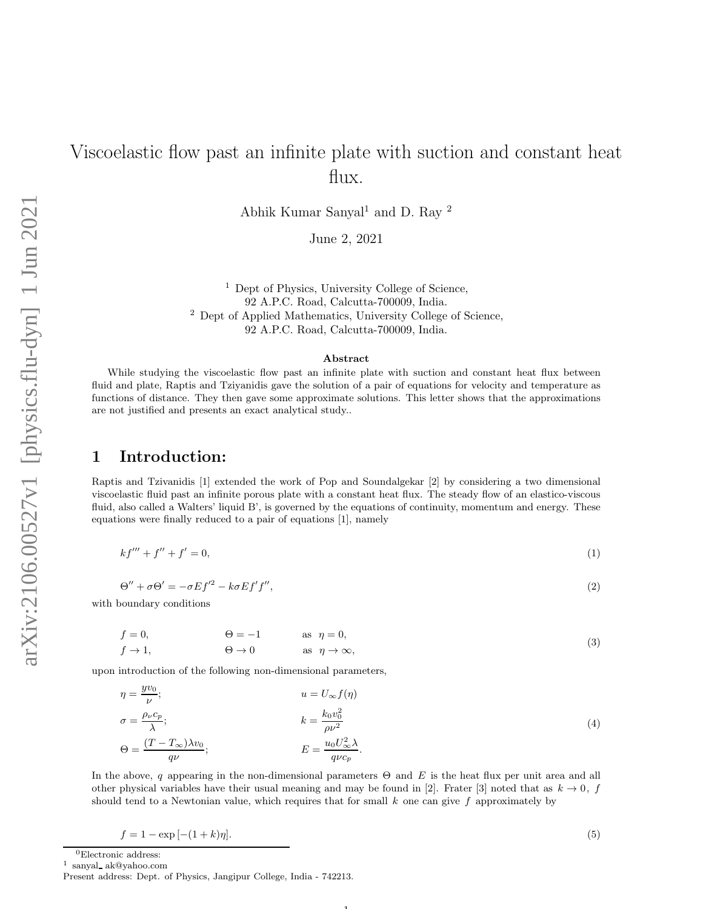# Viscoelastic flow past an infinite plate with suction and constant heat flux.

Abhik Kumar Sanyal<sup>1</sup> and D. Ray <sup>2</sup>

June 2, 2021

<sup>1</sup> Dept of Physics, University College of Science, 92 A.P.C. Road, Calcutta-700009, India. <sup>2</sup> Dept of Applied Mathematics, University College of Science, 92 A.P.C. Road, Calcutta-700009, India.

#### Abstract

While studying the viscoelastic flow past an infinite plate with suction and constant heat flux between fluid and plate, Raptis and Tziyanidis gave the solution of a pair of equations for velocity and temperature as functions of distance. They then gave some approximate solutions. This letter shows that the approximations are not justified and presents an exact analytical study..

## 1 Introduction:

Raptis and Tzivanidis [1] extended the work of Pop and Soundalgekar [2] by considering a two dimensional viscoelastic fluid past an infinite porous plate with a constant heat flux. The steady flow of an elastico-viscous fluid, also called a Walters' liquid B', is governed by the equations of continuity, momentum and energy. These equations were finally reduced to a pair of equations [1], namely

$$
kf''' + f'' + f' = 0,\t\t(1)
$$

$$
\Theta'' + \sigma \Theta' = -\sigma E f'^2 - k \sigma E f' f'', \qquad (2)
$$

with boundary conditions

 $f = 0,$   $\Theta = -1$  as  $\eta = 0,$  $f \to 1$ ,  $\Theta \to 0$  as  $\eta \to \infty$ , (3)

upon introduction of the following non-dimensional parameters,

$$
\eta = \frac{yv_0}{\nu}; \qquad u = U_{\infty}f(\eta)
$$
  
\n
$$
\sigma = \frac{\rho_{\nu}c_p}{\lambda}; \qquad k = \frac{k_0v_0^2}{\rho\nu^2}
$$
  
\n
$$
\Theta = \frac{(T - T_{\infty})\lambda v_0}{q\nu}; \qquad E = \frac{u_0U_{\infty}^2\lambda}{q\nu c_p}.
$$
\n(4)

In the above, q appearing in the non-dimensional parameters  $\Theta$  and E is the heat flux per unit area and all other physical variables have their usual meaning and may be found in [2]. Frater [3] noted that as  $k \to 0$ , f should tend to a Newtonian value, which requires that for small  $k$  one can give  $f$  approximately by

$$
f = 1 - \exp[-(1+k)\eta].
$$
\n(5)

1

 ${}^{0}$ Electronic address:

1 sanyal ak@yahoo.com

Present address: Dept. of Physics, Jangipur College, India - 742213.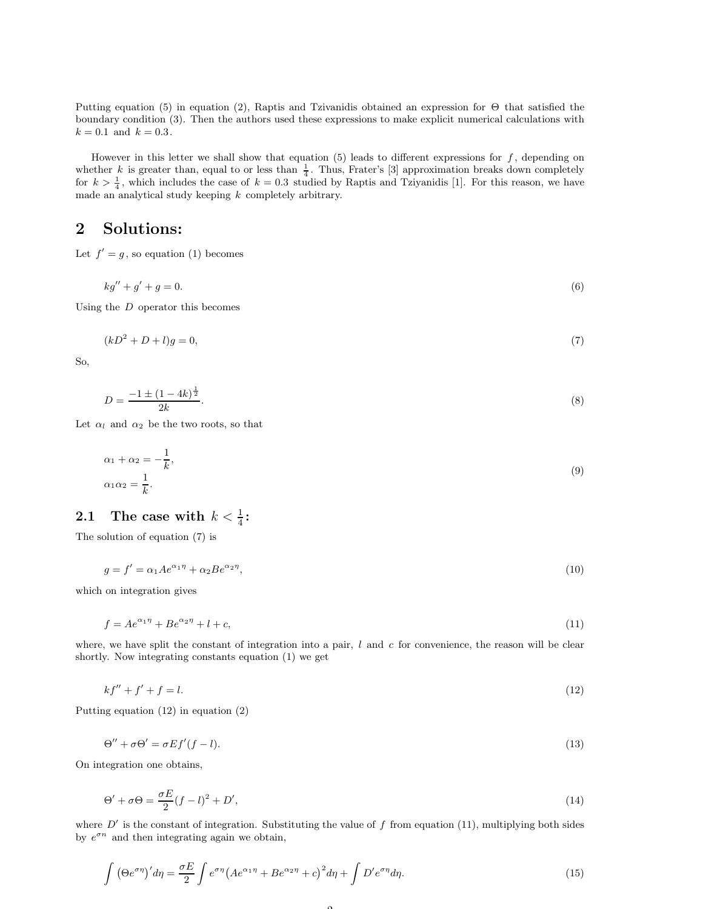Putting equation (5) in equation (2), Raptis and Tzivanidis obtained an expression for Θ that satisfied the boundary condition (3). Then the authors used these expressions to make explicit numerical calculations with  $k = 0.1$  and  $k = 0.3$ .

However in this letter we shall show that equation  $(5)$  leads to different expressions for  $f$ , depending on whether k is greater than, equal to or less than  $\frac{1}{4}$ . Thus, Frater's [3] approximation breaks down completely for  $k > \frac{1}{4}$ , which includes the case of  $k = 0.3$  studied by Raptis and Tziyanidis [1]. For this reason, we have made an analytical study keeping  $k$  completely arbitrary.

## 2 Solutions:

Let  $f' = g$ , so equation (1) becomes

 $kg'' + g' + g = 0.$  (6)

Using the  $D$  operator this becomes

$$
(kD^2 + D + l)g = 0,\t(7)
$$

So,

$$
D = \frac{-1 \pm (1 - 4k)^{\frac{1}{2}}}{2k}.
$$
\n(8)

Let  $\alpha_l$  and  $\alpha_2$  be the two roots, so that

$$
\alpha_1 + \alpha_2 = -\frac{1}{k},
$$
  
\n
$$
\alpha_1 \alpha_2 = \frac{1}{k}.
$$
\n(9)

# 2.1 The case with  $k < \frac{1}{4}$ :

The solution of equation (7) is

$$
g = f' = \alpha_1 A e^{\alpha_1 \eta} + \alpha_2 B e^{\alpha_2 \eta},\tag{10}
$$

which on integration gives

$$
f = Ae^{\alpha_1 \eta} + Be^{\alpha_2 \eta} + l + c,\tag{11}
$$

where, we have split the constant of integration into a pair,  $l$  and  $c$  for convenience, the reason will be clear shortly. Now integrating constants equation (1) we get

$$
kf'' + f' + f = l. \tag{12}
$$

Putting equation (12) in equation (2)

$$
\Theta'' + \sigma \Theta' = \sigma E f'(f - l). \tag{13}
$$

On integration one obtains,

$$
\Theta' + \sigma \Theta = \frac{\sigma E}{2} (f - l)^2 + D',\tag{14}
$$

where  $D'$  is the constant of integration. Substituting the value of f from equation (11), multiplying both sides by  $e^{\sigma n}$  and then integrating again we obtain,

 $\Omega$ 

$$
\int \left(\Theta e^{\sigma \eta}\right)' d\eta = \frac{\sigma E}{2} \int e^{\sigma \eta} \left(A e^{\alpha_1 \eta} + B e^{\alpha_2 \eta} + c\right)^2 d\eta + \int D' e^{\sigma \eta} d\eta. \tag{15}
$$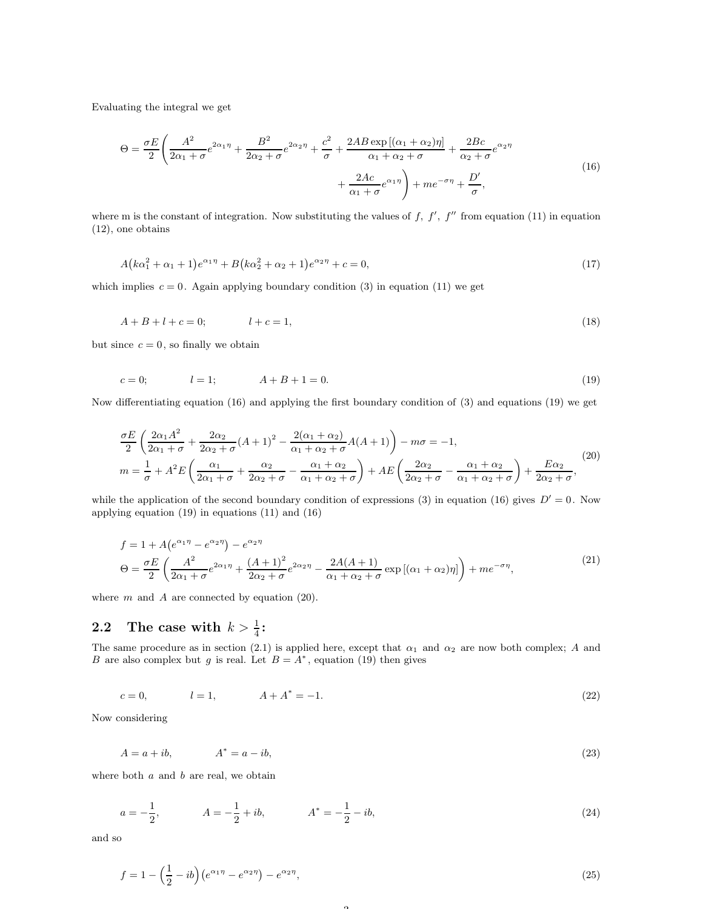Evaluating the integral we get

$$
\Theta = \frac{\sigma E}{2} \left( \frac{A^2}{2\alpha_1 + \sigma} e^{2\alpha_1 \eta} + \frac{B^2}{2\alpha_2 + \sigma} e^{2\alpha_2 \eta} + \frac{c^2}{\sigma} + \frac{2AB \exp\left[ (\alpha_1 + \alpha_2)\eta \right]}{\alpha_1 + \alpha_2 + \sigma} + \frac{2Bc}{\alpha_2 + \sigma} e^{\alpha_2 \eta} + \frac{2AC}{\alpha_1 + \sigma} e^{\alpha_1 \eta} \right) + me^{-\sigma \eta} + \frac{D'}{\sigma},\tag{16}
$$

where m is the constant of integration. Now substituting the values of  $f, f', f''$  from equation (11) in equation (12), one obtains

$$
A(k\alpha_1^2 + \alpha_1 + 1)e^{\alpha_1 \eta} + B(k\alpha_2^2 + \alpha_2 + 1)e^{\alpha_2 \eta} + c = 0,
$$
\n(17)

which implies  $c = 0$ . Again applying boundary condition (3) in equation (11) we get

$$
A + B + l + c = 0; \t l + c = 1,
$$
\t(18)

but since  $c = 0$ , so finally we obtain

$$
c = 0; \t l = 1; \t A + B + 1 = 0.
$$
\t(19)

Now differentiating equation (16) and applying the first boundary condition of (3) and equations (19) we get

$$
\frac{\sigma E}{2} \left( \frac{2\alpha_1 A^2}{2\alpha_1 + \sigma} + \frac{2\alpha_2}{2\alpha_2 + \sigma} (A+1)^2 - \frac{2(\alpha_1 + \alpha_2)}{\alpha_1 + \alpha_2 + \sigma} A(A+1) \right) - m\sigma = -1,
$$
\n
$$
m = \frac{1}{\sigma} + A^2 E \left( \frac{\alpha_1}{2\alpha_1 + \sigma} + \frac{\alpha_2}{2\alpha_2 + \sigma} - \frac{\alpha_1 + \alpha_2}{\alpha_1 + \alpha_2 + \sigma} \right) + AE \left( \frac{2\alpha_2}{2\alpha_2 + \sigma} - \frac{\alpha_1 + \alpha_2}{\alpha_1 + \alpha_2 + \sigma} \right) + \frac{E\alpha_2}{2\alpha_2 + \sigma},
$$
\n(20)

while the application of the second boundary condition of expressions (3) in equation (16) gives  $D' = 0$ . Now applying equation (19) in equations (11) and (16)

$$
f = 1 + A(e^{\alpha_1 \eta} - e^{\alpha_2 \eta}) - e^{\alpha_2 \eta}
$$
  
\n
$$
\Theta = \frac{\sigma E}{2} \left( \frac{A^2}{2\alpha_1 + \sigma} e^{2\alpha_1 \eta} + \frac{(A+1)^2}{2\alpha_2 + \sigma} e^{2\alpha_2 \eta} - \frac{2A(A+1)}{\alpha_1 + \alpha_2 + \sigma} \exp\left[ (\alpha_1 + \alpha_2)\eta \right] \right) + me^{-\sigma \eta},
$$
\n(21)

where  $m$  and  $A$  are connected by equation (20).

# 2.2 The case with  $k > \frac{1}{4}$ :

The same procedure as in section (2.1) is applied here, except that  $\alpha_1$  and  $\alpha_2$  are now both complex; A and B are also complex but g is real. Let  $B = A^*$ , equation (19) then gives

$$
c = 0, \t l = 1, \t A + A^* = -1.
$$
\t(22)

Now considering

$$
A = a + ib,
$$
  

$$
A^* = a - ib,
$$
 (23)

where both  $a$  and  $b$  are real, we obtain

$$
a = -\frac{1}{2}, \qquad A = -\frac{1}{2} + ib, \qquad A^* = -\frac{1}{2} - ib,
$$
\n<sup>(24)</sup>

and so

$$
f = 1 - \left(\frac{1}{2} - ib\right) \left(e^{\alpha_1 \eta} - e^{\alpha_2 \eta}\right) - e^{\alpha_2 \eta},\tag{25}
$$

 $\Omega$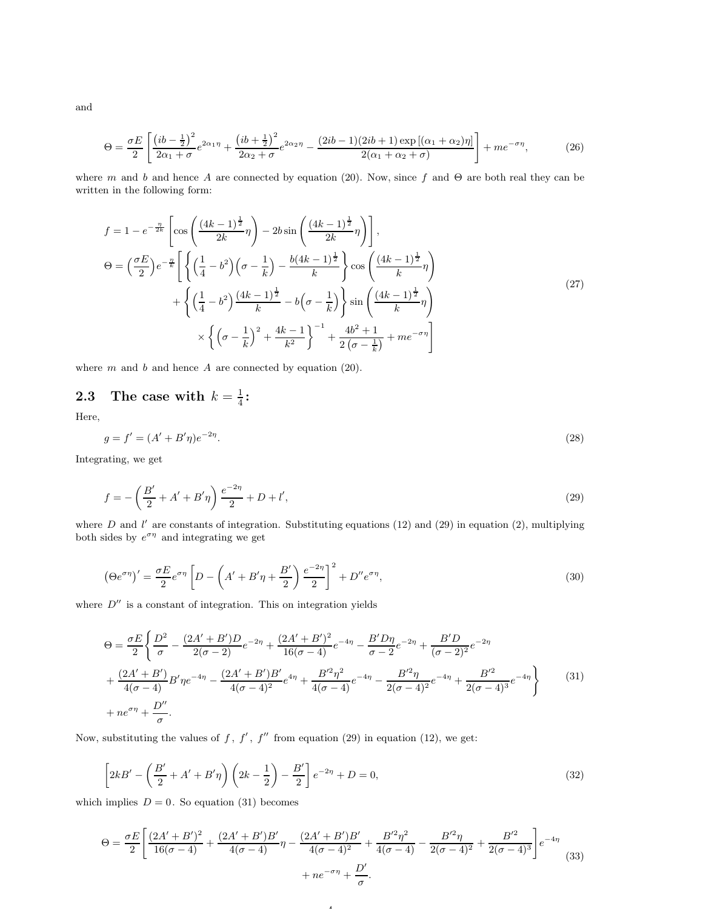and

$$
\Theta = \frac{\sigma E}{2} \left[ \frac{\left( ib - \frac{1}{2} \right)^2}{2\alpha_1 + \sigma} e^{2\alpha_1 \eta} + \frac{\left( ib + \frac{1}{2} \right)^2}{2\alpha_2 + \sigma} e^{2\alpha_2 \eta} - \frac{(2ib - 1)(2ib + 1)\exp\left[ (\alpha_1 + \alpha_2)\eta \right]}{2(\alpha_1 + \alpha_2 + \sigma)} \right] + me^{-\sigma\eta},\tag{26}
$$

where m and b and hence A are connected by equation (20). Now, since f and  $\Theta$  are both real they can be written in the following form:

$$
f = 1 - e^{-\frac{\eta}{2k}} \left[ \cos\left(\frac{(4k-1)^{\frac{1}{2}}}{2k}\eta\right) - 2b \sin\left(\frac{(4k-1)^{\frac{1}{2}}}{2k}\eta\right) \right],
$$
  
\n
$$
\Theta = \left(\frac{\sigma E}{2}\right) e^{-\frac{\eta}{k}} \left[ \left\{ \left(\frac{1}{4} - b^2\right) \left(\sigma - \frac{1}{k}\right) - \frac{b(4k-1)^{\frac{1}{2}}}{k} \right\} \cos\left(\frac{(4k-1)^{\frac{1}{2}}}{k}\eta\right) + \left\{ \left(\frac{1}{4} - b^2\right) \frac{(4k-1)^{\frac{1}{2}}}{k} - b\left(\sigma - \frac{1}{k}\right) \right\} \sin\left(\frac{(4k-1)^{\frac{1}{2}}}{k}\eta\right) + \left\{ \left(\sigma - \frac{1}{k}\right)^2 + \frac{4k-1}{k^2} \right\}^{-1} + \frac{4b^2 + 1}{2\left(\sigma - \frac{1}{k}\right)} + me^{-\sigma\eta} \right] \tag{27}
$$

where  $m$  and  $b$  and hence  $A$  are connected by equation (20).

#### 2.3 The case with  $k=\frac{1}{4}$  $\frac{1}{4}$ :

Here,

$$
g = f' = (A' + B'\eta)e^{-2\eta}.
$$
\n(28)

Integrating, we get

$$
f = -\left(\frac{B'}{2} + A' + B'\eta\right) \frac{e^{-2\eta}}{2} + D + l',\tag{29}
$$

where D and l' are constants of integration. Substituting equations (12) and (29) in equation (2), multiplying both sides by  $e^{\sigma \eta}$  and integrating we get

$$
\left(\Theta e^{\sigma\eta}\right)' = \frac{\sigma E}{2} e^{\sigma\eta} \left[ D - \left(A' + B'\eta + \frac{B'}{2}\right) \frac{e^{-2\eta}}{2} \right]^2 + D'' e^{\sigma\eta},\tag{30}
$$

where  $D''$  is a constant of integration. This on integration yields

$$
\Theta = \frac{\sigma E}{2} \left\{ \frac{D^2}{\sigma} - \frac{(2A' + B')D}{2(\sigma - 2)} e^{-2\eta} + \frac{(2A' + B')^2}{16(\sigma - 4)} e^{-4\eta} - \frac{B'D\eta}{\sigma - 2} e^{-2\eta} + \frac{B'D}{(\sigma - 2)^2} e^{-2\eta} \right.\left. + \frac{(2A' + B')}{4(\sigma - 4)} B'\eta e^{-4\eta} - \frac{(2A' + B')B'}{4(\sigma - 4)^2} e^{4\eta} + \frac{B'^2 \eta^2}{4(\sigma - 4)} e^{-4\eta} - \frac{B'^2 \eta}{2(\sigma - 4)^2} e^{-4\eta} + \frac{B'^2}{2(\sigma - 4)^3} e^{-4\eta} \right\}
$$
(31)  
\n+  $ne^{\sigma\eta} + \frac{D''}{\sigma}$ .

Now, substituting the values of f, f', f'' from equation (29) in equation (12), we get:

$$
\[2kB' - \left(\frac{B'}{2} + A' + B'\eta\right)\left(2k - \frac{1}{2}\right) - \frac{B'}{2}\]e^{-2\eta} + D = 0,\tag{32}
$$

which implies  $D = 0$ . So equation (31) becomes

$$
\Theta = \frac{\sigma E}{2} \left[ \frac{(2A' + B')^2}{16(\sigma - 4)} + \frac{(2A' + B')B'}{4(\sigma - 4)} \eta - \frac{(2A' + B')B'}{4(\sigma - 4)^2} + \frac{B'^2 \eta^2}{4(\sigma - 4)} - \frac{B'^2 \eta}{2(\sigma - 4)^2} + \frac{B'^2}{2(\sigma - 4)^3} \right] e^{-4\eta} + n e^{-\sigma \eta} + \frac{D'}{\sigma}.
$$
\n(33)

4